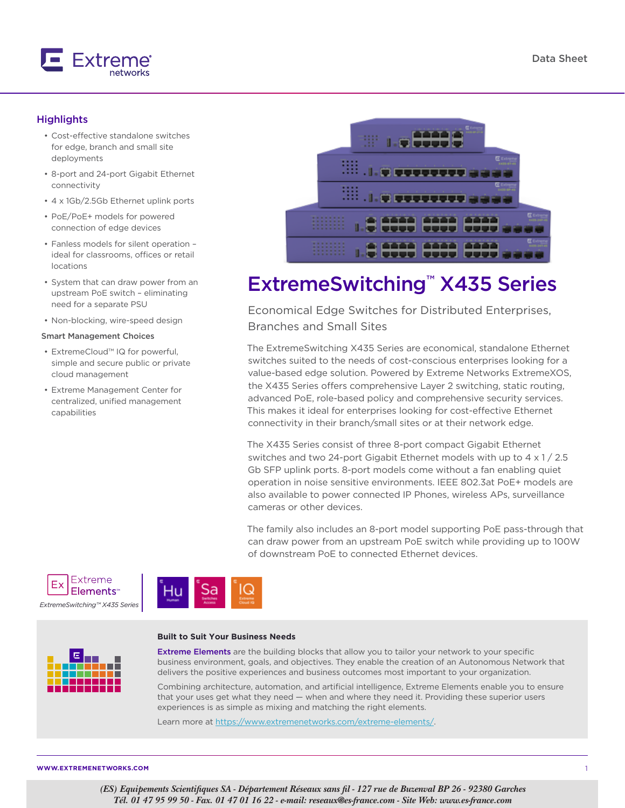

### **Highlights**

- Cost-effective standalone switches for edge, branch and small site deployments
- 8-port and 24-port Gigabit Ethernet connectivity
- 4 x 1Gb/2.5Gb Ethernet uplink ports
- PoE/PoE+ models for powered connection of edge devices
- Fanless models for silent operation ideal for classrooms, offices or retail locations
- System that can draw power from an upstream PoE switch – eliminating need for a separate PSU
- Non-blocking, wire-speed design

#### Smart Management Choices

- ExtremeCloud™ IQ for powerful, simple and secure public or private cloud management
- Extreme Management Center for centralized, unified management capabilities



# ExtremeSwitching™ X435 Series

Economical Edge Switches for Distributed Enterprises, Branches and Small Sites

The ExtremeSwitching X435 Series are economical, standalone Ethernet switches suited to the needs of cost-conscious enterprises looking for a value-based edge solution. Powered by Extreme Networks ExtremeXOS, the X435 Series offers comprehensive Layer 2 switching, static routing, advanced PoE, role-based policy and comprehensive security services. This makes it ideal for enterprises looking for cost-effective Ethernet connectivity in their branch/small sites or at their network edge.

The X435 Series consist of three 8-port compact Gigabit Ethernet switches and two 24-port Gigabit Ethernet models with up to  $4 \times 1 / 2.5$ Gb SFP uplink ports. 8-port models come without a fan enabling quiet operation in noise sensitive environments. IEEE 802.3at PoE+ models are also available to power connected IP Phones, wireless APs, surveillance cameras or other devices.

The family also includes an 8-port model supporting PoE pass-through that can draw power from an upstream PoE switch while providing up to 100W of downstream PoE to connected Ethernet devices.





#### **Built to Suit Your Business Needs**



Extreme Elements are the building blocks that allow you to tailor your network to your specific business environment, goals, and objectives. They enable the creation of an Autonomous Network that delivers the positive experiences and business outcomes most important to your organization.

Combining architecture, automation, and artificial intelligence, Extreme Elements enable you to ensure that your uses get what they need — when and where they need it. Providing these superior users experiences is as simple as mixing and matching the right elements.

Learn more at<https://www.extremenetworks.com/extreme-elements/>.

**WWW.EXTREMENETWORKS.COM**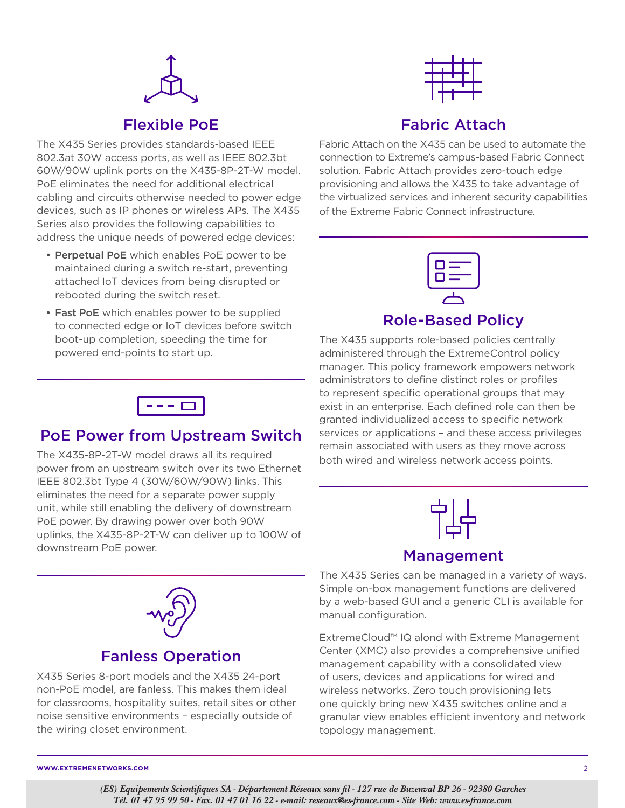

## Flexible PoE

The X435 Series provides standards-based IEEE 802.3at 30W access ports, as well as IEEE 802.3bt 60W/90W uplink ports on the X435-8P-2T-W model. PoE eliminates the need for additional electrical cabling and circuits otherwise needed to power edge devices, such as IP phones or wireless APs. The X435 Series also provides the following capabilities to address the unique needs of powered edge devices:

- Perpetual PoE which enables PoE power to be maintained during a switch re-start, preventing attached IoT devices from being disrupted or rebooted during the switch reset.
- Fast PoE which enables power to be supplied to connected edge or IoT devices before switch boot-up completion, speeding the time for powered end-points to start up.



## Fabric Attach

Fabric Attach on the X435 can be used to automate the connection to Extreme's campus-based Fabric Connect solution. Fabric Attach provides zero-touch edge provisioning and allows the X435 to take advantage of the virtualized services and inherent security capabilities of the Extreme Fabric Connect infrastructure.



## Role-Based Policy

The X435 supports role-based policies centrally administered through the ExtremeControl policy manager. This policy framework empowers network administrators to define distinct roles or profiles to represent specific operational groups that may exist in an enterprise. Each defined role can then be granted individualized access to specific network services or applications – and these access privileges remain associated with users as they move across both wired and wireless network access points.



## Management

The X435 Series can be managed in a variety of ways. Simple on-box management functions are delivered by a web-based GUI and a generic CLI is available for manual configuration.

ExtremeCloud™ IQ alond with Extreme Management Center (XMC) also provides a comprehensive unified management capability with a consolidated view of users, devices and applications for wired and wireless networks. Zero touch provisioning lets one quickly bring new X435 switches online and a granular view enables efficient inventory and network topology management.



## PoE Power from Upstream Switch

The X435-8P-2T-W model draws all its required power from an upstream switch over its two Ethernet IEEE 802.3bt Type 4 (30W/60W/90W) links. This eliminates the need for a separate power supply unit, while still enabling the delivery of downstream PoE power. By drawing power over both 90W uplinks, the X435-8P-2T-W can deliver up to 100W of downstream PoE power.



## Fanless Operation

X435 Series 8-port models and the X435 24-port non-PoE model, are fanless. This makes them ideal for classrooms, hospitality suites, retail sites or other noise sensitive environments – especially outside of the wiring closet environment.

**WWW.EXTREMENETWORKS.COM** 2

*(ES) Equipements Scientifiques SA - Département Réseaux sans fil - 127 rue de Buzenval BP 26 - 92380 Garches Tél. 01 47 95 99 50 - Fax. 01 47 01 16 22 - e-mail: reseaux@es-france.com - Site Web: www.es-france.com*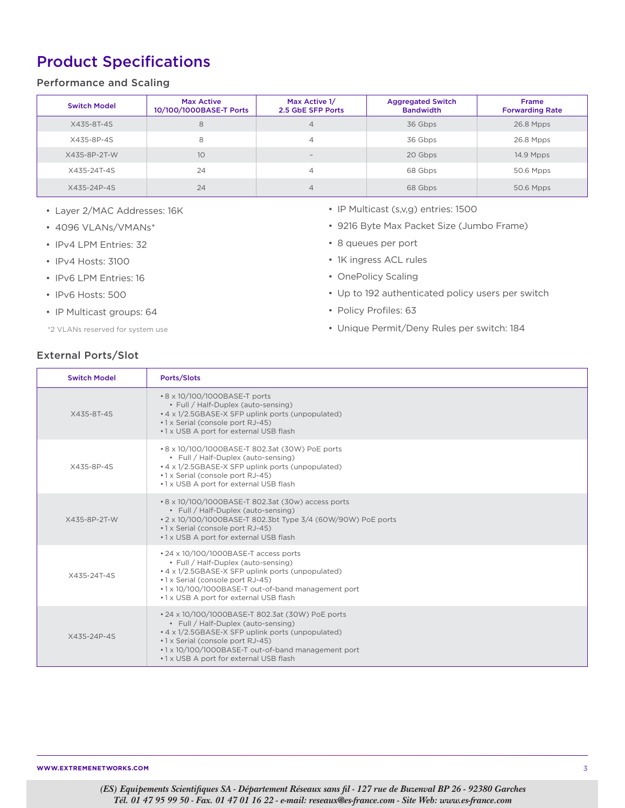# Product Specifications

### Performance and Scaling

| <b>Switch Model</b> | Max Active<br>10/100/1000BASE-T Ports | Max Active 1/<br>2.5 GbE SFP Ports | <b>Aggregated Switch</b><br><b>Bandwidth</b> | Frame<br><b>Forwarding Rate</b> |
|---------------------|---------------------------------------|------------------------------------|----------------------------------------------|---------------------------------|
| X435-8T-4S          | 8                                     | 4                                  | 36 Gbps                                      | 26.8 Mpps                       |
| X435-8P-4S          | 8                                     | 4                                  | 36 Gbps                                      | 26.8 Mpps                       |
| X435-8P-2T-W        | 10                                    | $\sim$                             | 20 Gbps                                      | 14.9 Mpps                       |
| X435-24T-4S         | 24                                    | 4                                  | 68 Gbps                                      | 50.6 Mpps                       |
| X435-24P-4S         | 24                                    | 4                                  | 68 Gbps                                      | 50.6 Mpps                       |

- Layer 2/MAC Addresses: 16K
- 4096 VLANs/VMANs\*
- IPv4 LPM Entries: 32
- IPv4 Hosts: 3100
- IPv6 LPM Entries: 16
- IPv6 Hosts: 500
- IP Multicast groups: 64

\*2 VLANs reserved for system use

- IP Multicast (s,v,g) entries: 1500
- 9216 Byte Max Packet Size (Jumbo Frame)
- 8 queues per port
- 1K ingress ACL rules
- OnePolicy Scaling
- Up to 192 authenticated policy users per switch
- Policy Profiles: 63
- Unique Permit/Deny Rules per switch: 184

## External Ports/Slot

| <b>Switch Model</b> | Ports/Slots                                                                                                                                                                                                                                                                      |
|---------------------|----------------------------------------------------------------------------------------------------------------------------------------------------------------------------------------------------------------------------------------------------------------------------------|
| X435-8T-4S          | • 8 x 10/100/1000BASE-T ports<br>• Full / Half-Duplex (auto-sensing)<br>• 4 x 1/2.5GBASE-X SFP uplink ports (unpopulated)<br>•1 x Serial (console port RJ-45)<br>.1 x USB A port for external USB flash                                                                          |
| X435-8P-4S          | • 8 x 10/100/1000BASE-T 802.3at (30W) PoE ports<br>• Full / Half-Duplex (auto-sensing)<br>• 4 x 1/2.5GBASE-X SFP uplink ports (unpopulated)<br>•1 x Serial (console port RJ-45)<br>.1 x USB A port for external USB flash                                                        |
| X435-8P-2T-W        | • 8 x 10/100/1000BASE-T 802.3at (30w) access ports<br>• Full / Half-Duplex (auto-sensing)<br>• 2 x 10/100/1000BASE-T 802.3bt Type 3/4 (60W/90W) PoE ports<br>•1 x Serial (console port RJ-45)<br>.1 x USB A port for external USB flash                                          |
| X435-24T-4S         | • 24 x 10/100/1000BASE-T access ports<br>• Full / Half-Duplex (auto-sensing)<br>• 4 x 1/2.5GBASE-X SFP uplink ports (unpopulated)<br>•1 x Serial (console port RJ-45)<br>.1 x 10/100/1000BASE-T out-of-band management port<br>.1 x USB A port for external USB flash            |
| X435-24P-4S         | • 24 x 10/100/1000BASE-T 802.3at (30W) PoE ports<br>• Full / Half-Duplex (auto-sensing)<br>• 4 x 1/2.5GBASE-X SFP uplink ports (unpopulated)<br>•1 x Serial (console port RJ-45)<br>.1 x 10/100/1000BASE-T out-of-band management port<br>•1 x USB A port for external USB flash |

**WWW.EXTREMENETWORKS.COM** 3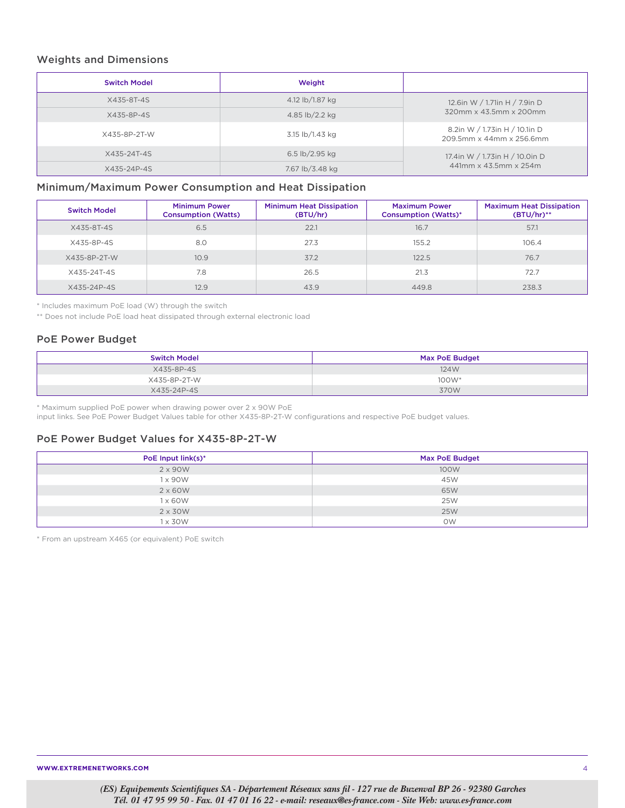### Weights and Dimensions

| <b>Switch Model</b> | Weight          |                                                           |
|---------------------|-----------------|-----------------------------------------------------------|
| X435-8T-4S          | 4.12 lb/1.87 kg | 12.6in W / 1.71in H / 7.9in D                             |
| X435-8P-4S          | 4.85 lb/2.2 kg  | 320mm x 43.5mm x 200mm                                    |
| X435-8P-2T-W        | 3.15 lb/1.43 kg | 8.2in W / 1.73in H / 10.1in D<br>209.5mm x 44mm x 256.6mm |
| X435-24T-4S         | 6.5 lb/2.95 kg  | 17.4in W / 1.73in H / 10.0in D                            |
| X435-24P-4S         | 7.67 lb/3.48 kg | 441mm x 43.5mm x 254m                                     |

### Minimum/Maximum Power Consumption and Heat Dissipation

| <b>Switch Model</b> | <b>Minimum Power</b><br><b>Consumption (Watts)</b> | <b>Minimum Heat Dissipation</b><br>(BTU/hr) | <b>Maximum Power</b><br><b>Consumption (Watts)*</b> | <b>Maximum Heat Dissipation</b><br>$(BTU/hr)$ ** |
|---------------------|----------------------------------------------------|---------------------------------------------|-----------------------------------------------------|--------------------------------------------------|
| X435-8T-4S          | 6.5                                                | 22.1                                        | 16.7                                                | 57.1                                             |
| X435-8P-4S          | 8.0                                                | 27.3                                        | 155.2                                               | 106.4                                            |
| X435-8P-2T-W        | 10.9                                               | 37.2                                        | 122.5                                               | 76.7                                             |
| X435-24T-4S         | 7.8                                                | 26.5                                        | 21.3                                                | 72.7                                             |
| X435-24P-4S         | 12.9                                               | 43.9                                        | 449.8                                               | 238.3                                            |

\* Includes maximum PoE load (W) through the switch

\*\* Does not include PoE load heat dissipated through external electronic load

### PoE Power Budget

| <b>Switch Model</b> | Max PoE Budget |
|---------------------|----------------|
| X435-8P-4S          | 124W           |
| X435-8P-2T-W        | $100W^*$       |
| X435-24P-4S         | 370W           |

\* Maximum supplied PoE power when drawing power over 2 x 90W PoE

input links. See PoE Power Budget Values table for other X435-8P-2T-W configurations and respective PoE budget values.

### PoE Power Budget Values for X435-8P-2T-W

| PoE Input link(s)* | <b>Max PoE Budget</b> |
|--------------------|-----------------------|
| 2 x 90W            | 100W                  |
| 1 x 90 W           | 45W                   |
| $2 \times 60W$     | 65W                   |
| 1 x 60 W           | <b>25W</b>            |
| $2 \times 30W$     | <b>25W</b>            |
| $1 \times 30W$     | <b>OW</b>             |

\* From an upstream X465 (or equivalent) PoE switch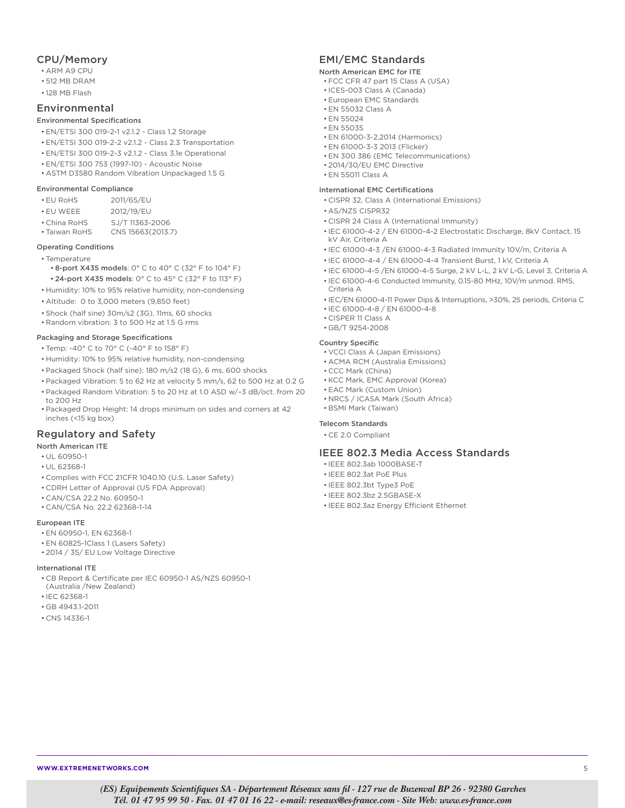### CPU/Memory

- ARM A9 CPU
- 512 MB DRAM
- 128 MB Flash

### Environmental

#### Environmental Specifications

- EN/ETSI 300 019-2-1 v2.1.2 Class 1.2 Storage
- EN/ETSI 300 019-2-2 v2.1.2 Class 2.3 Transportation
- EN/ETSI 300 019-2-3 v2.1.2 Class 3.1e Operational
- EN/ETSI 300 753 (1997-10) Acoustic Noise
- ASTM D3580 Random Vibration Unpackaged 1.5 G

### Environmental Compliance

- EU RoHS 2011/65/EU
- EU WEEE 2012/19/EU
- China RoHS SJ/T 11363-2006
- Taiwan RoHS CNS 15663(2013.7)

#### Operating Conditions

- Temperature
	- 8-port X435 models: 0° C to 40° C (32° F to 104° F) • 24-port X435 models: 0° C to 45° C (32° F to 113° F)
- Humidity: 10% to 95% relative humidity, non-condensing
- Altitude: 0 to 3,000 meters (9,850 feet)
- Shock (half sine) 30m/s2 (3G), 11ms, 60 shocks
- Random vibration: 3 to 500 Hz at 1.5 G rms

#### Packaging and Storage Specifications

- Temp: -40° C to 70° C (-40° F to 158° F)
- Humidity: 10% to 95% relative humidity, non-condensing
- Packaged Shock (half sine): 180 m/s2 (18 G), 6 ms, 600 shocks
- Packaged Vibration: 5 to 62 Hz at velocity 5 mm/s, 62 to 500 Hz at 0.2 G
- Packaged Random Vibration: 5 to 20 Hz at 1.0 ASD w/–3 dB/oct. from 20 to 200 Hz
- Packaged Drop Height: 14 drops minimum on sides and corners at 42 inches (<15 kg box)

### Regulatory and Safety

#### North American ITE

- UL 60950-1
- UL 62368-1
- Complies with FCC 21CFR 1040.10 (U.S. Laser Safety)
- CDRH Letter of Approval (US FDA Approval)
- CAN/CSA 22.2 No. 60950-1
- CAN/CSA No. 22.2 62368-1-14

#### European ITE

- EN 60950-1, EN 62368-1
- EN 60825-1Class 1 (Lasers Safety)
- 2014 / 35/ EU Low Voltage Directive

#### International ITE

- CB Report & Certificate per IEC 60950-1 AS/NZS 60950-1
- (Australia /New Zealand)
- IEC 62368-1
- GB 4943.1-2011
- CNS 14336-1

## EMI/EMC Standards

#### North American EMC for ITE

- FCC CFR 47 part 15 Class A (USA)
- ICES-003 Class A (Canada)
- European EMC Standards
- EN 55032 Class A • EN 55024
- EN 55035
- EN 61000-3-2,2014 (Harmonics)
- EN 61000-3-3 2013 (Flicker)
- EN 300 386 (EMC Telecommunications)
- 2014/30/EU EMC Directive
- EN 55011 Class A

#### International EMC Certifications

- CISPR 32, Class A (International Emissions)
- AS/NZS CISPR32
- CISPR 24 Class A (International Immunity)
- IEC 61000-4-2 / EN 61000-4-2 Electrostatic Discharge, 8kV Contact, 15 kV Air, Criteria A
- IEC 61000-4-3 /EN 61000-4-3 Radiated Immunity 10V/m, Criteria A
- IEC 61000-4-4 / EN 61000-4-4 Transient Burst, 1 kV, Criteria A
- IEC 61000-4-5 /EN 61000-4-5 Surge, 2 kV L-L, 2 kV L-G, Level 3, Criteria A
- IEC 61000-4-6 Conducted Immunity, 0.15-80 MHz, 10V/m unmod. RMS, Criteria A
- IEC/EN 61000-4-11 Power Dips & Interruptions, >30%, 25 periods, Criteria C
- IEC 61000-4-8 / EN 61000-4-8
- CISPER 11 Class A
- GB/T 9254-2008

#### Country Specific

- VCCI Class A (Japan Emissions)
- ACMA RCM (Australia Emissions)
- CCC Mark (China)
- KCC Mark, EMC Approval (Korea)
- EAC Mark (Custom Union) • NRCS / ICASA Mark (South Africa)
- BSMI Mark (Taiwan)

#### Telecom Standards

• CE 2.0 Compliant

### IEEE 802.3 Media Access Standards

- IEEE 802.3ab 1000BASE-T
- IEEE 802.3at PoE Plus
- IEEE 802.3bt Type3 PoE
- IEEE 802.3bz 2.5GBASE-X
- IEEE 802.3az Energy Efficient Ethernet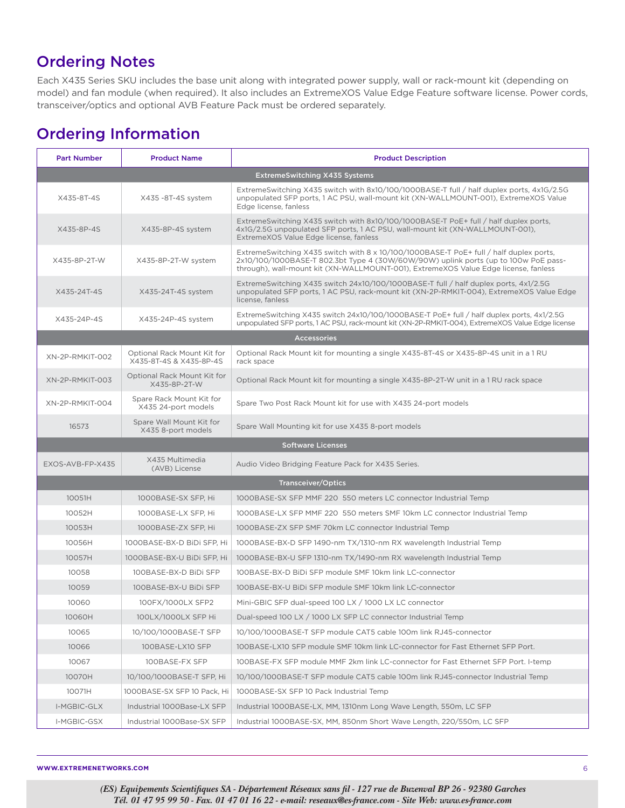## Ordering Notes

Each X435 Series SKU includes the base unit along with integrated power supply, wall or rack-mount kit (depending on model) and fan module (when required). It also includes an ExtremeXOS Value Edge Feature software license. Power cords, transceiver/optics and optional AVB Feature Pack must be ordered separately.

## Ordering Information

| <b>Part Number</b>                   | <b>Product Name</b>                                    | <b>Product Description</b>                                                                                                                                                                                                                                           |  |  |
|--------------------------------------|--------------------------------------------------------|----------------------------------------------------------------------------------------------------------------------------------------------------------------------------------------------------------------------------------------------------------------------|--|--|
| <b>ExtremeSwitching X435 Systems</b> |                                                        |                                                                                                                                                                                                                                                                      |  |  |
| X435-8T-4S                           | X435 -8T-4S system                                     | ExtremeSwitching X435 switch with 8x10/100/1000BASE-T full / half duplex ports, 4x1G/2.5G<br>unpopulated SFP ports, 1 AC PSU, wall-mount kit (XN-WALLMOUNT-001), ExtremeXOS Value<br>Edge license, fanless                                                           |  |  |
| X435-8P-4S                           | X435-8P-4S system                                      | ExtremeSwitching X435 switch with 8x10/100/1000BASE-T PoE+ full / half duplex ports,<br>4x1G/2.5G unpopulated SFP ports, 1 AC PSU, wall-mount kit (XN-WALLMOUNT-001),<br>ExtremeXOS Value Edge license, fanless                                                      |  |  |
| X435-8P-2T-W                         | X435-8P-2T-W system                                    | ExtremeSwitching X435 switch with 8 x 10/100/1000BASE-T PoE+ full / half duplex ports,<br>2x10/100/1000BASE-T 802.3bt Type 4 (30W/60W/90W) uplink ports (up to 100w PoE pass-<br>through), wall-mount kit (XN-WALLMOUNT-001), ExtremeXOS Value Edge license, fanless |  |  |
| X435-24T-4S                          | X435-24T-4S system                                     | ExtremeSwitching X435 switch 24x10/100/1000BASE-T full / half duplex ports, 4x1/2.5G<br>unpopulated SFP ports, 1 AC PSU, rack-mount kit (XN-2P-RMKIT-004), ExtremeXOS Value Edge<br>license, fanless                                                                 |  |  |
| X435-24P-4S                          | X435-24P-4S system                                     | ExtremeSwitching X435 switch 24x10/100/1000BASE-T PoE+ full / half duplex ports, 4x1/2.5G<br>unpopulated SFP ports, 1 AC PSU, rack-mount kit (XN-2P-RMKIT-004), ExtremeXOS Value Edge license                                                                        |  |  |
|                                      |                                                        | <b>Accessories</b>                                                                                                                                                                                                                                                   |  |  |
| XN-2P-RMKIT-002                      | Optional Rack Mount Kit for<br>X435-8T-4S & X435-8P-4S | Optional Rack Mount kit for mounting a single X435-8T-4S or X435-8P-4S unit in a 1 RU<br>rack space                                                                                                                                                                  |  |  |
| XN-2P-RMKIT-003                      | Optional Rack Mount Kit for<br>X435-8P-2T-W            | Optional Rack Mount kit for mounting a single X435-8P-2T-W unit in a 1 RU rack space                                                                                                                                                                                 |  |  |
| XN-2P-RMKIT-004                      | Spare Rack Mount Kit for<br>X435 24-port models        | Spare Two Post Rack Mount kit for use with X435 24-port models                                                                                                                                                                                                       |  |  |
| 16573                                | Spare Wall Mount Kit for<br>X435 8-port models         | Spare Wall Mounting kit for use X435 8-port models                                                                                                                                                                                                                   |  |  |
|                                      | <b>Software Licenses</b>                               |                                                                                                                                                                                                                                                                      |  |  |
| EXOS-AVB-FP-X435                     | X435 Multimedia<br>(AVB) License                       | Audio Video Bridging Feature Pack for X435 Series.                                                                                                                                                                                                                   |  |  |
|                                      |                                                        | Transceiver/Optics                                                                                                                                                                                                                                                   |  |  |
| 10051H                               | 1000BASE-SX SFP, Hi                                    | 1000BASE-SX SFP MMF 220 550 meters LC connector Industrial Temp                                                                                                                                                                                                      |  |  |
| 10052H                               | 1000BASE-LX SFP, Hi                                    | 1000BASE-LX SFP MMF 220 550 meters SMF 10km LC connector Industrial Temp                                                                                                                                                                                             |  |  |
| 10053H                               | 1000BASE-ZX SFP, Hi                                    | 1000BASE-ZX SFP SMF 70km LC connector Industrial Temp                                                                                                                                                                                                                |  |  |
| 10056H                               | 1000BASE-BX-D BiDi SFP, Hi                             | 1000BASE-BX-D SFP 1490-nm TX/1310-nm RX wavelength Industrial Temp                                                                                                                                                                                                   |  |  |
| 10057H                               | 1000BASE-BX-U BiDi SFP, Hi                             | 1000BASE-BX-U SFP 1310-nm TX/1490-nm RX wavelength Industrial Temp                                                                                                                                                                                                   |  |  |
| 10058                                | 100BASE-BX-D BiDi SFP                                  | 100BASE-BX-D BiDi SFP module SMF 10km link LC-connector                                                                                                                                                                                                              |  |  |
| 10059                                | 100BASE-BX-U BiDi SFP                                  | 100BASE-BX-U BiDi SFP module SMF 10km link LC-connector                                                                                                                                                                                                              |  |  |
| 10060                                | 100FX/1000LX SFP2                                      | Mini-GBIC SFP dual-speed 100 LX / 1000 LX LC connector                                                                                                                                                                                                               |  |  |
| 10060H                               | 100LX/1000LX SFP Hi                                    | Dual-speed 100 LX / 1000 LX SFP LC connector Industrial Temp                                                                                                                                                                                                         |  |  |
| 10065                                | 10/100/1000BASE-T SFP                                  | 10/100/1000BASE-T SFP module CAT5 cable 100m link RJ45-connector                                                                                                                                                                                                     |  |  |
| 10066                                | 100BASE-LX10 SFP                                       | 100BASE-LX10 SFP module SMF 10km link LC-connector for Fast Ethernet SFP Port.                                                                                                                                                                                       |  |  |
| 10067                                | 100BASE-FX SFP                                         | 100BASE-FX SFP module MMF 2km link LC-connector for Fast Ethernet SFP Port. I-temp                                                                                                                                                                                   |  |  |
| 10070H                               | 10/100/1000BASE-T SFP, Hi                              | 10/100/1000BASE-T SFP module CAT5 cable 100m link RJ45-connector Industrial Temp                                                                                                                                                                                     |  |  |
| 10071H                               | 1000BASE-SX SFP 10 Pack, Hi                            | 1000BASE-SX SFP 10 Pack Industrial Temp                                                                                                                                                                                                                              |  |  |
| I-MGBIC-GLX                          | Industrial 1000Base-LX SFP                             | Industrial 1000BASE-LX, MM, 1310nm Long Wave Length, 550m, LC SFP                                                                                                                                                                                                    |  |  |
| I-MGBIC-GSX                          | Industrial 1000Base-SX SFP                             | Industrial 1000BASE-SX, MM, 850nm Short Wave Length, 220/550m, LC SFP                                                                                                                                                                                                |  |  |

**WWW.EXTREMENETWORKS.COM** 6

*(ES) Equipements Scientifiques SA - Département Réseaux sans fil - 127 rue de Buzenval BP 26 - 92380 Garches Tél. 01 47 95 99 50 - Fax. 01 47 01 16 22 - e-mail: reseaux@es-france.com - Site Web: www.es-france.com*